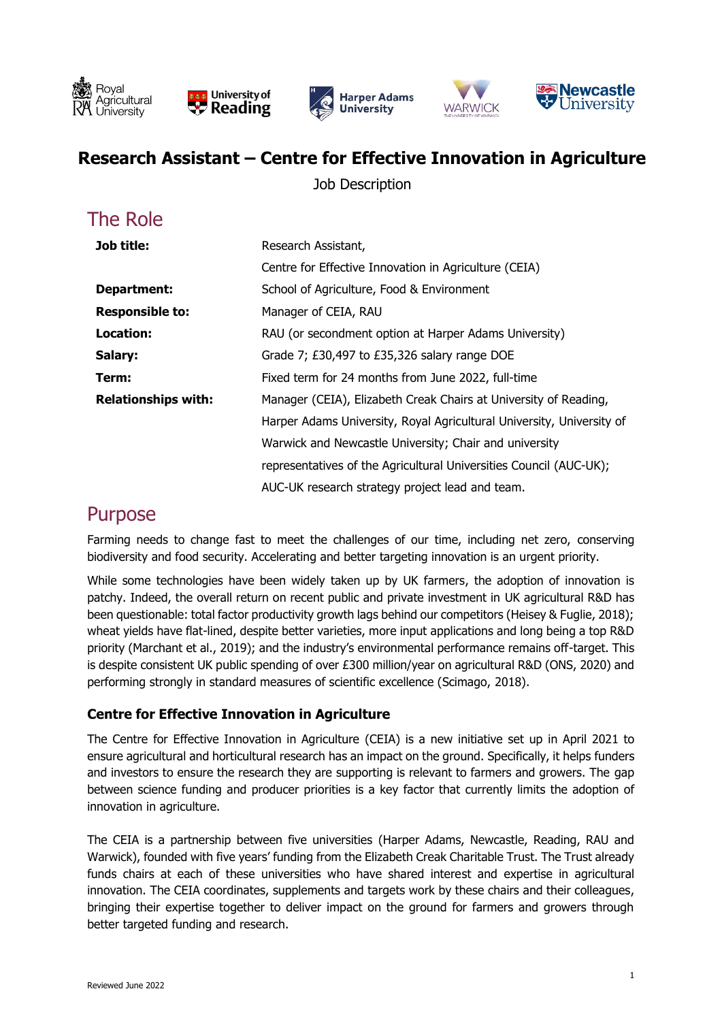







#### **Research Assistant – Centre for Effective Innovation in Agriculture**

Job Description

# The Role

| Job title:                 | Research Assistant,                                                   |
|----------------------------|-----------------------------------------------------------------------|
|                            | Centre for Effective Innovation in Agriculture (CEIA)                 |
| Department:                | School of Agriculture, Food & Environment                             |
| <b>Responsible to:</b>     | Manager of CEIA, RAU                                                  |
| Location:                  | RAU (or secondment option at Harper Adams University)                 |
| Salary:                    | Grade 7; £30,497 to £35,326 salary range DOE                          |
| Term:                      | Fixed term for 24 months from June 2022, full-time                    |
| <b>Relationships with:</b> | Manager (CEIA), Elizabeth Creak Chairs at University of Reading,      |
|                            | Harper Adams University, Royal Agricultural University, University of |
|                            | Warwick and Newcastle University; Chair and university                |
|                            | representatives of the Agricultural Universities Council (AUC-UK);    |
|                            | AUC-UK research strategy project lead and team.                       |

#### Purpose

 Farming needs to change fast to meet the challenges of our time, including net zero, conserving biodiversity and food security. Accelerating and better targeting innovation is an urgent priority.

 While some technologies have been widely taken up by UK farmers, the adoption of innovation is patchy. Indeed, the overall return on recent public and private investment in UK agricultural R&D has been questionable: total factor productivity growth lags behind our competitors (Heisey & Fuglie, 2018); wheat yields have flat-lined, despite better varieties, more input applications and long being a top R&D priority (Marchant et al., 2019); and the industry's environmental performance remains off-target. This is despite consistent UK public spending of over £300 million/year on agricultural R&D (ONS, 2020) and performing strongly in standard measures of scientific excellence (Scimago, 2018).

#### **Centre for Effective Innovation in Agriculture**

 The Centre for Effective Innovation in Agriculture (CEIA) is a new initiative set up in April 2021 to ensure agricultural and horticultural research has an impact on the ground. Specifically, it helps funders and investors to ensure the research they are supporting is relevant to farmers and growers. The gap between science funding and producer priorities is a key factor that currently limits the adoption of innovation in agriculture.

 The CEIA is a partnership between five universities (Harper Adams, Newcastle, Reading, RAU and Warwick), founded with five years' funding from the Elizabeth Creak Charitable Trust. The Trust already funds chairs at each of these universities who have shared interest and expertise in agricultural bringing their expertise together to deliver impact on the ground for farmers and growers through innovation. The CEIA coordinates, supplements and targets work by these chairs and their colleagues, better targeted funding and research.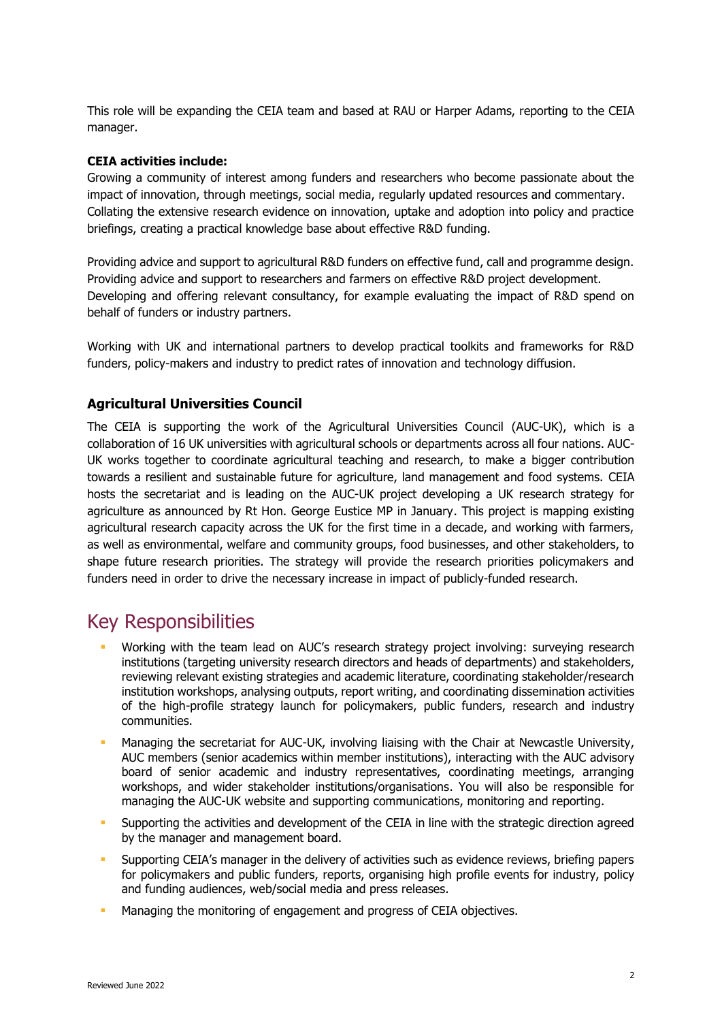This role will be expanding the CEIA team and based at RAU or Harper Adams, reporting to the CEIA manager.

#### **CEIA activities include:**

 Growing a community of interest among funders and researchers who become passionate about the Collating the extensive research evidence on innovation, uptake and adoption into policy and practice impact of innovation, through meetings, social media, regularly updated resources and commentary. briefings, creating a practical knowledge base about effective R&D funding.

 Providing advice and support to agricultural R&D funders on effective fund, call and programme design. Developing and offering relevant consultancy, for example evaluating the impact of R&D spend on Providing advice and support to researchers and farmers on effective R&D project development. behalf of funders or industry partners.

Working with UK and international partners to develop practical toolkits and frameworks for R&D funders, policy-makers and industry to predict rates of innovation and technology diffusion.

#### **Agricultural Universities Council**

 The CEIA is supporting the work of the Agricultural Universities Council (AUC-UK), which is a collaboration of 16 UK universities with agricultural schools or departments across all four nations. AUC- towards a resilient and sustainable future for agriculture, land management and food systems. CEIA agriculture as announced by Rt Hon. George Eustice MP in January. This project is mapping existing agricultural research capacity across the UK for the first time in a decade, and working with farmers, shape future research priorities. The strategy will provide the research priorities policymakers and UK works together to coordinate agricultural teaching and research, to make a bigger contribution hosts the secretariat and is leading on the AUC-UK project developing a UK research strategy for as well as environmental, welfare and community groups, food businesses, and other stakeholders, to funders need in order to drive the necessary increase in impact of publicly-funded research.

### Key Responsibilities

- **■** Working with the team lead on AUC's research strategy project involving: surveying research institutions (targeting university research directors and heads of departments) and stakeholders, institution workshops, analysing outputs, report writing, and coordinating dissemination activities reviewing relevant existing strategies and academic literature, coordinating stakeholder/research of the high-profile strategy launch for policymakers, public funders, research and industry communities.
- **■** Managing the secretariat for AUC-UK, involving liaising with the Chair at Newcastle University, workshops, and wider stakeholder institutions/organisations. You will also be responsible for AUC members (senior academics within member institutions), interacting with the AUC advisory board of senior academic and industry representatives, coordinating meetings, arranging managing the AUC-UK website and supporting communications, monitoring and reporting.
- **•** Supporting the activities and development of the CEIA in line with the strategic direction agreed by the manager and management board.
- **EXTH** Supporting CEIA's manager in the delivery of activities such as evidence reviews, briefing papers for policymakers and public funders, reports, organising high profile events for industry, policy and funding audiences, web/social media and press releases.
- **EXECT** Managing the monitoring of engagement and progress of CEIA objectives.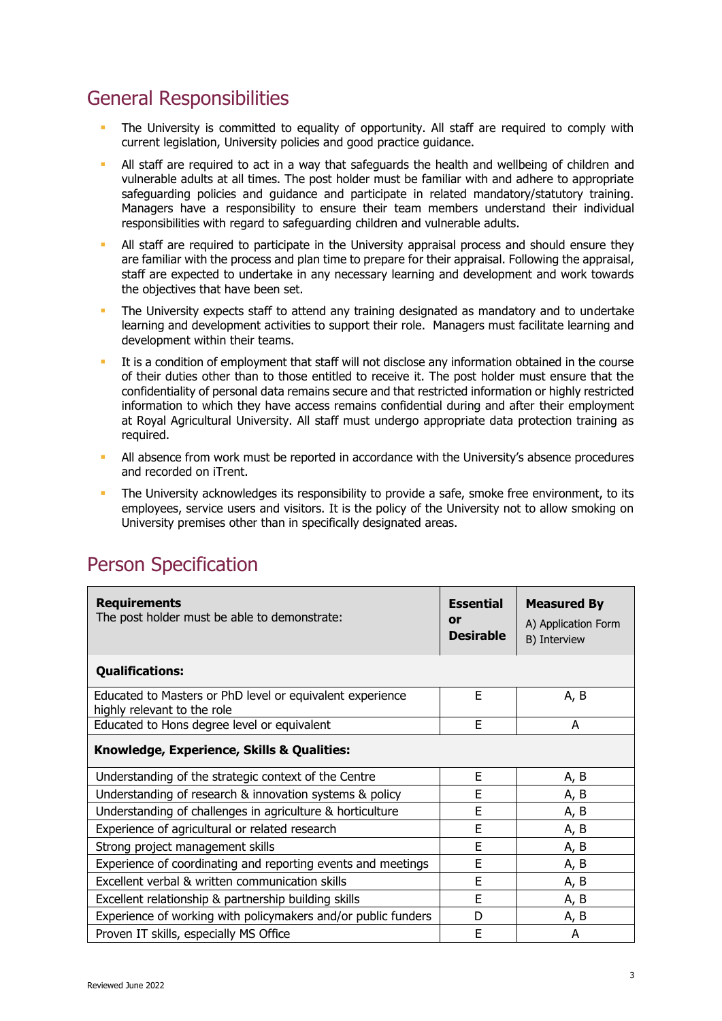# General Responsibilities

- **•** The University is committed to equality of opportunity. All staff are required to comply with current legislation, University policies and good practice guidance.
- **EXT** All staff are required to act in a way that safeguards the health and wellbeing of children and vulnerable adults at all times. The post holder must be familiar with and adhere to appropriate safeguarding policies and guidance and participate in related mandatory/statutory training. Managers have a responsibility to ensure their team members understand their individual responsibilities with regard to safeguarding children and vulnerable adults.
- **EXT** All staff are required to participate in the University appraisal process and should ensure they are familiar with the process and plan time to prepare for their appraisal. Following the appraisal, staff are expected to undertake in any necessary learning and development and work towards the objectives that have been set.
- **•** The University expects staff to attend any training designated as mandatory and to undertake learning and development activities to support their role. Managers must facilitate learning and development within their teams.
- **EXT** It is a condition of employment that staff will not disclose any information obtained in the course of their duties other than to those entitled to receive it. The post holder must ensure that the confidentiality of personal data remains secure and that restricted information or highly restricted information to which they have access remains confidential during and after their employment at Royal Agricultural University. All staff must undergo appropriate data protection training as required.
- **•** All absence from work must be reported in accordance with the University's absence procedures and recorded on iTrent.
- **The University acknowledges its responsibility to provide a safe, smoke free environment, to its**  employees, service users and visitors. It is the policy of the University not to allow smoking on University premises other than in specifically designated areas.

| <b>Requirements</b><br>The post holder must be able to demonstrate:                      | <b>Essential</b><br>or<br><b>Desirable</b> | <b>Measured By</b><br>A) Application Form<br>B) Interview |  |  |
|------------------------------------------------------------------------------------------|--------------------------------------------|-----------------------------------------------------------|--|--|
| <b>Qualifications:</b>                                                                   |                                            |                                                           |  |  |
| Educated to Masters or PhD level or equivalent experience<br>highly relevant to the role | E                                          | A, B                                                      |  |  |
| Educated to Hons degree level or equivalent                                              | E                                          | A                                                         |  |  |
| Knowledge, Experience, Skills & Qualities:                                               |                                            |                                                           |  |  |
| Understanding of the strategic context of the Centre                                     | E                                          | A, B                                                      |  |  |
| Understanding of research & innovation systems & policy                                  | E                                          | A, B                                                      |  |  |
| Understanding of challenges in agriculture & horticulture                                | E                                          | A, B                                                      |  |  |
| Experience of agricultural or related research                                           | E                                          | A, B                                                      |  |  |
| Strong project management skills                                                         | E                                          | A, B                                                      |  |  |
| Experience of coordinating and reporting events and meetings                             | E                                          | A, B                                                      |  |  |
| Excellent verbal & written communication skills                                          | E                                          | A, B                                                      |  |  |
| Excellent relationship & partnership building skills                                     | E                                          | A, B                                                      |  |  |
| Experience of working with policymakers and/or public funders                            | D                                          | A, B                                                      |  |  |
| Proven IT skills, especially MS Office                                                   | E                                          | A                                                         |  |  |

## Person Specification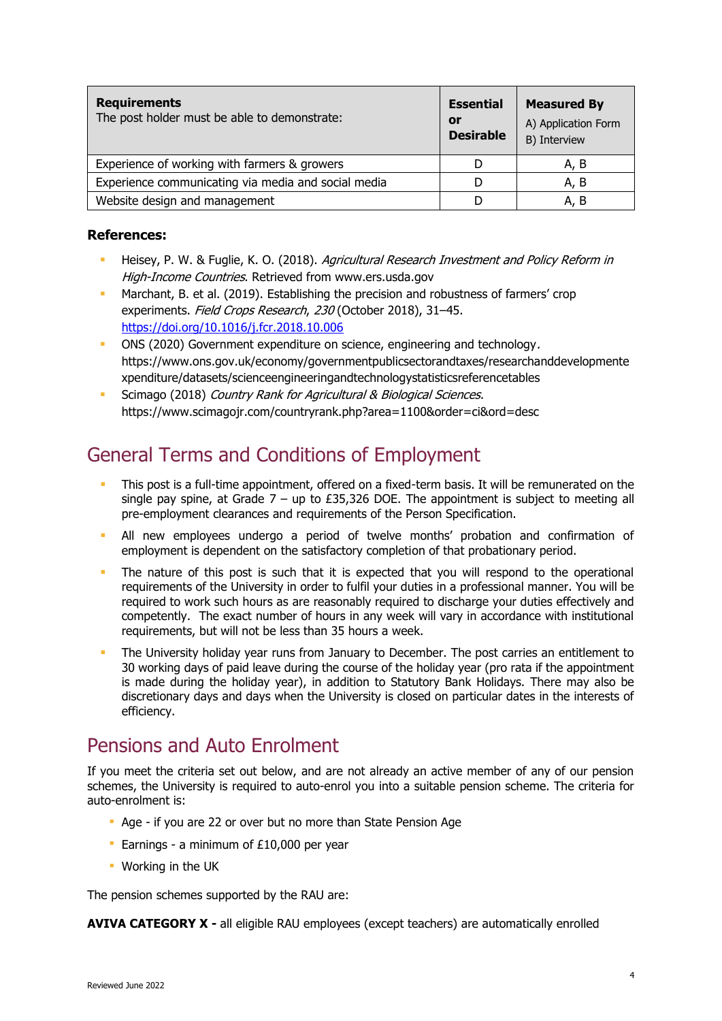| <b>Requirements</b><br>The post holder must be able to demonstrate: | <b>Essential</b><br>or<br><b>Desirable</b> | <b>Measured By</b><br>A) Application Form<br>B) Interview |
|---------------------------------------------------------------------|--------------------------------------------|-----------------------------------------------------------|
| Experience of working with farmers & growers                        |                                            | A. B                                                      |
| Experience communicating via media and social media                 |                                            | A, B                                                      |
| Website design and management                                       |                                            | A, B                                                      |

#### **References:**

- Heisey, P. W. & Fuglie, K. O. (2018). Agricultural Research Investment and Policy Reform in High-Income Countries. Retrieved from<www.ers.usda.gov>
- Marchant, B. et al. (2019). Establishing the precision and robustness of farmers' crop experiments. Field Crops Research, 230 (October 2018), 31-45. <https://doi.org/10.1016/j.fcr.2018.10.006>
- ONS (2020) Government expenditure on science, engineering and technology. <https://www.ons.gov.uk/economy/governmentpublicsectorandtaxes/researchanddevelopmente> xpenditure/datasets/scienceengineeringandtechnologystatisticsreferencetables
- **EXECT** Scimago (2018) Country Rank for Agricultural & Biological Sciences. <https://www.scimagojr.com/countryrank.php?area=1100&order=ci&ord=desc>

### General Terms and Conditions of Employment

- **This post is a full-time appointment, offered on a fixed-term basis. It will be remunerated on the** single pay spine, at Grade  $7 - up$  to £35,326 DOE. The appointment is subject to meeting all pre-employment clearances and requirements of the Person Specification.
- **EXT All new employees undergo a period of twelve months' probation and confirmation of** employment is dependent on the satisfactory completion of that probationary period.
- **•** The nature of this post is such that it is expected that you will respond to the operational required to work such hours as are reasonably required to discharge your duties effectively and competently. The exact number of hours in any week will vary in accordance with institutional requirements of the University in order to fulfil your duties in a professional manner. You will be requirements, but will not be less than 35 hours a week.
- **•** The University holiday year runs from January to December. The post carries an entitlement to 30 working days of paid leave during the course of the holiday year (pro rata if the appointment is made during the holiday year), in addition to Statutory Bank Holidays. There may also be discretionary days and days when the University is closed on particular dates in the interests of efficiency.

## Pensions and Auto Enrolment

 If you meet the criteria set out below, and are not already an active member of any of our pension schemes, the University is required to auto-enrol you into a suitable pension scheme. The criteria for auto-enrolment is:

- Age if you are 22 or over but no more than State Pension Age
- **Earnings a minimum of £10,000 per year**
- Working in the UK

The pension schemes supported by the RAU are:

**AVIVA CATEGORY X -** all eligible RAU employees (except teachers) are automatically enrolled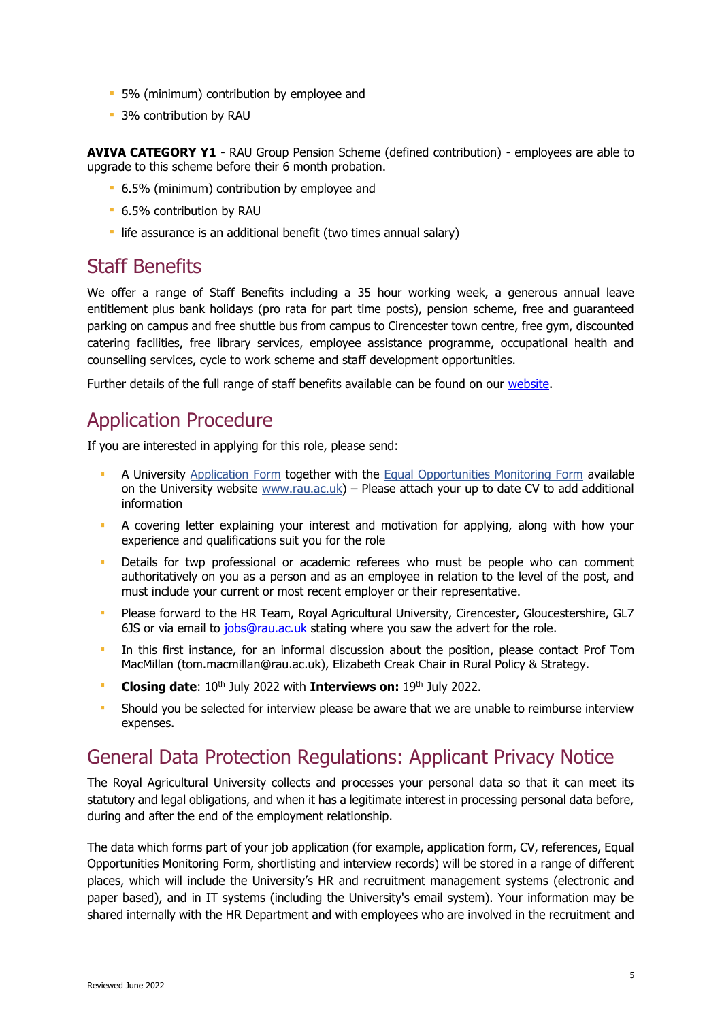- 5% (minimum) contribution by employee and
- 3% contribution by RAU

 **AVIVA CATEGORY Y1** - RAU Group Pension Scheme (defined contribution) - employees are able to upgrade to this scheme before their 6 month probation.

- 6.5% (minimum) contribution by employee and
- 6.5% contribution by RAU
- **·** life assurance is an additional benefit (two times annual salary)

## Staff Benefits

 We offer a range of Staff Benefits including a 35 hour working week, a generous annual leave entitlement plus bank holidays (pro rata for part time posts), pension scheme, free and guaranteed parking on campus and free shuttle bus from campus to Cirencester town centre, free gym, discounted catering facilities, free library services, employee assistance programme, occupational health and counselling services, cycle to work scheme and staff development opportunities.

Further details of the full range of staff benefits available can be found on our [website.](https://www.rau.ac.uk/about/jobs/benefits-working-us)

### Application Procedure

If you are interested in applying for this role, please send:

- **A University [Application Form](https://www.rau.ac.uk/sites/default/files/rau/Application%20Form%20.docx) together with the [Equal Opportunities Monitoring Form](https://www.rau.ac.uk/sites/default/files/rau/Equal%20Opportunities%20Monitoring%20Form%20March%202022_1.docx) available** on the University website [www.rau.ac.uk\)](http://www.rau.ac.uk/) – Please attach your up to date CV to add additional information
- **•** A covering letter explaining your interest and motivation for applying, along with how your experience and qualifications suit you for the role
- **•** Details for twp professional or academic referees who must be people who can comment authoritatively on you as a person and as an employee in relation to the level of the post, and must include your current or most recent employer or their representative.
- ▪ Please forward to the HR Team, Royal Agricultural University, Cirencester, Gloucestershire, GL7 6JS or via email to [jobs@rau.ac.uk](mailto:jobs@rau.ac.uk) stating where you saw the advert for the role.
- **.** In this first instance, for an informal discussion about the position, please contact Prof Tom MacMillan [\(tom.macmillan@rau.ac.uk\)](mailto:tom.macmillan@rau.ac.uk), Elizabeth Creak Chair in Rural Policy & Strategy.
- **Closing date:** 10<sup>th</sup> July 2022 with **Interviews on:** 19<sup>th</sup> July 2022.
- **•** Should you be selected for interview please be aware that we are unable to reimburse interview expenses.

## General Data Protection Regulations: Applicant Privacy Notice

 The Royal Agricultural University collects and processes your personal data so that it can meet its statutory and legal obligations, and when it has a legitimate interest in processing personal data before, during and after the end of the employment relationship.

 The data which forms part of your job application (for example, application form, CV, references, Equal Opportunities Monitoring Form, shortlisting and interview records) will be stored in a range of different places, which will include the University's HR and recruitment management systems (electronic and paper based), and in IT systems (including the University's email system). Your information may be shared internally with the HR Department and with employees who are involved in the recruitment and